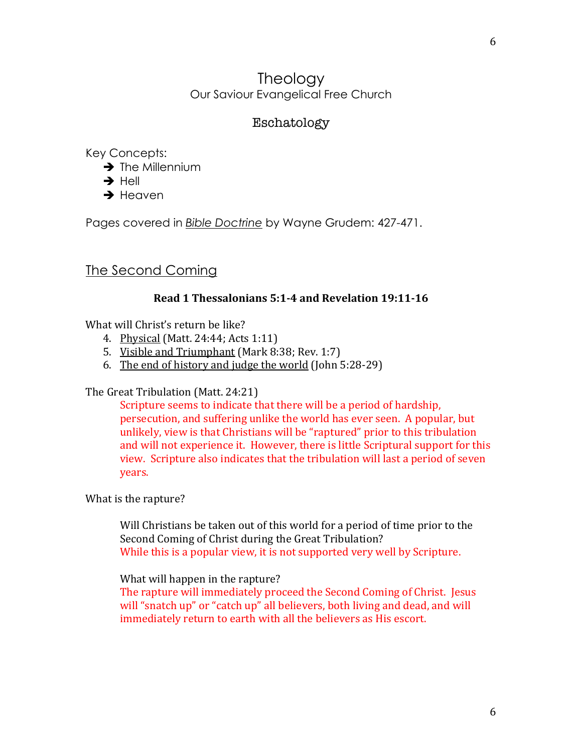## **Theology** Our Saviour Evangelical Free Church

## Eschatology

Key Concepts:

- $\rightarrow$  The Millennium
- $\rightarrow$  Hell
- $\rightarrow$  Heaven

Pages covered in *Bible Doctrine* by Wayne Grudem: 427-471.

# The Second Coming

## **Read 1 Thessalonians 5:1-4 and Revelation 19:11-16**

What will Christ's return be like?

- 4. Physical (Matt. 24:44; Acts 1:11)
- 5. Visible and Triumphant (Mark 8:38; Rev. 1:7)
- 6. The end of history and judge the world (John  $5:28-29$ )

The Great Tribulation (Matt. 24:21)

Scripture seems to indicate that there will be a period of hardship, persecution, and suffering unlike the world has ever seen. A popular, but unlikely, view is that Christians will be "raptured" prior to this tribulation and will not experience it. However, there is little Scriptural support for this view. Scripture also indicates that the tribulation will last a period of seven years.

What is the rapture?

Will Christians be taken out of this world for a period of time prior to the Second Coming of Christ during the Great Tribulation? While this is a popular view, it is not supported very well by Scripture.

## What will happen in the rapture?

The rapture will immediately proceed the Second Coming of Christ. Jesus will "snatch up" or "catch up" all believers, both living and dead, and will immediately return to earth with all the believers as His escort.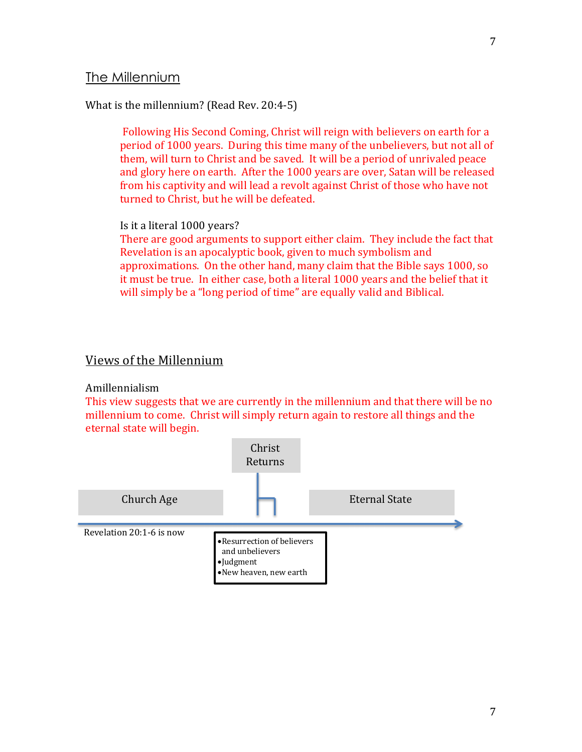## What is the millennium? (Read Rev. 20:4-5)

Following His Second Coming, Christ will reign with believers on earth for a period of 1000 years. During this time many of the unbelievers, but not all of them, will turn to Christ and be saved. It will be a period of unrivaled peace and glory here on earth. After the 1000 years are over, Satan will be released from his captivity and will lead a revolt against Christ of those who have not turned to Christ, but he will be defeated.

### Is it a literal 1000 years?

There are good arguments to support either claim. They include the fact that Revelation is an apocalyptic book, given to much symbolism and approximations. On the other hand, many claim that the Bible says 1000, so it must be true. In either case, both a literal 1000 years and the belief that it will simply be a "long period of time" are equally valid and Biblical.

## Views of the Millennium

## Amillennialism

This view suggests that we are currently in the millennium and that there will be no millennium to come. Christ will simply return again to restore all things and the eternal state will begin.

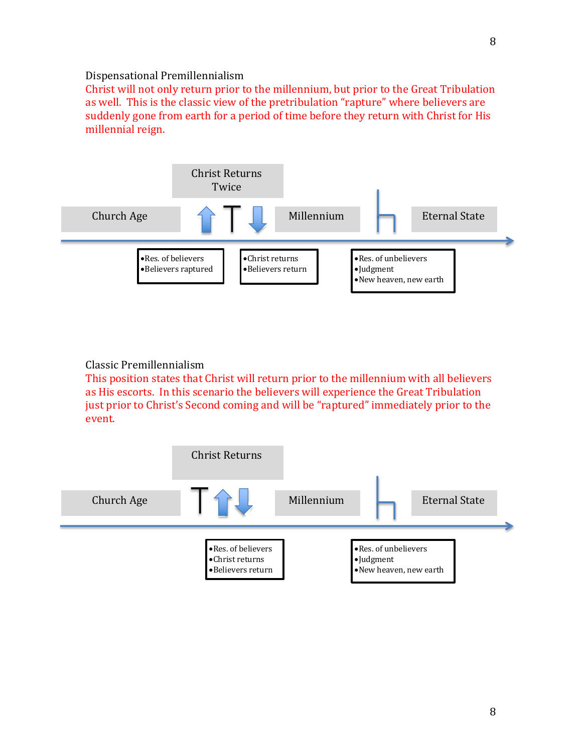#### Dispensational Premillennialism

Christ will not only return prior to the millennium, but prior to the Great Tribulation as well. This is the classic view of the pretribulation "rapture" where believers are suddenly gone from earth for a period of time before they return with Christ for His millennial reign.



### Classic Premillennialism

This position states that Christ will return prior to the millennium with all believers as His escorts. In this scenario the believers will experience the Great Tribulation just prior to Christ's Second coming and will be "raptured" immediately prior to the event.

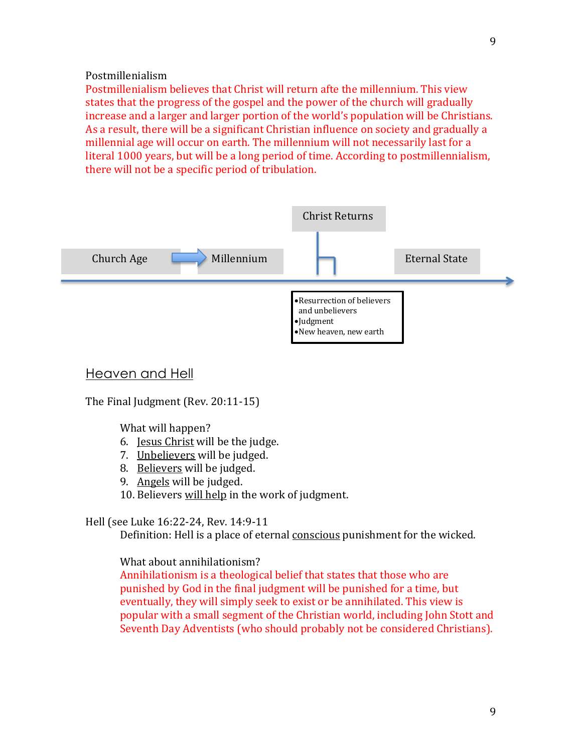Postmillenialism

Postmillenialism believes that Christ will return afte the millennium. This view states that the progress of the gospel and the power of the church will gradually increase and a larger and larger portion of the world's population will be Christians. As a result, there will be a significant Christian influence on society and gradually a millennial age will occur on earth. The millennium will not necessarily last for a literal 1000 years, but will be a long period of time. According to postmillennialism, there will not be a specific period of tribulation.



## Heaven and Hell

The Final Judgment (Rev.  $20:11-15$ )

What will happen?

- 6. Jesus Christ will be the judge.
- 7. Unbelievers will be judged.
- 8. Believers will be judged.
- 9. Angels will be judged.
- 10. Believers will help in the work of judgment.

### Hell (see Luke 16:22-24, Rev. 14:9-11

Definition: Hell is a place of eternal conscious punishment for the wicked.

What about annihilationism?

Annihilationism is a theological belief that states that those who are punished by God in the final judgment will be punished for a time, but eventually, they will simply seek to exist or be annihilated. This view is popular with a small segment of the Christian world, including John Stott and Seventh Day Adventists (who should probably not be considered Christians).